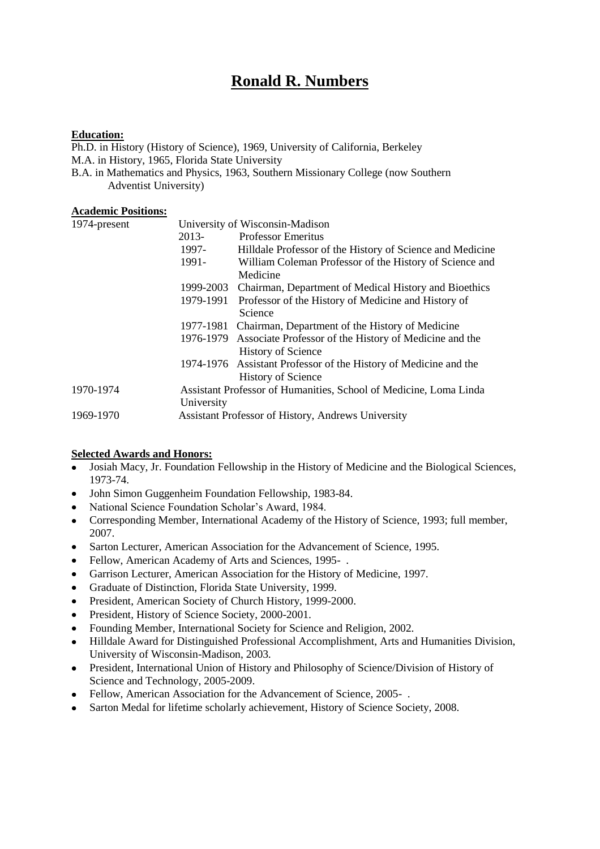# **Ronald R. Numbers**

### **Education:**

Ph.D. in History (History of Science), 1969, University of California, Berkeley M.A. in History, 1965, Florida State University B.A. in Mathematics and Physics, 1963, Southern Missionary College (now Southern Adventist University)

#### **Academic Positions:**

| 1974-present |                                                                   | University of Wisconsin-Madison                                  |  |
|--------------|-------------------------------------------------------------------|------------------------------------------------------------------|--|
|              | 2013-                                                             | <b>Professor Emeritus</b>                                        |  |
|              | 1997-                                                             | Hilldale Professor of the History of Science and Medicine        |  |
|              | 1991-                                                             | William Coleman Professor of the History of Science and          |  |
|              |                                                                   | Medicine                                                         |  |
|              | 1999-2003                                                         | Chairman, Department of Medical History and Bioethics            |  |
|              | 1979-1991                                                         | Professor of the History of Medicine and History of              |  |
|              |                                                                   | Science                                                          |  |
|              |                                                                   | 1977-1981 Chairman, Department of the History of Medicine        |  |
|              |                                                                   | 1976-1979 Associate Professor of the History of Medicine and the |  |
|              |                                                                   | <b>History of Science</b>                                        |  |
|              |                                                                   | 1974-1976 Assistant Professor of the History of Medicine and the |  |
|              |                                                                   | <b>History of Science</b>                                        |  |
| 1970-1974    | Assistant Professor of Humanities, School of Medicine, Loma Linda |                                                                  |  |
|              | University                                                        |                                                                  |  |
| 1969-1970    |                                                                   | Assistant Professor of History, Andrews University               |  |

## **Selected Awards and Honors:**

- Josiah Macy, Jr. Foundation Fellowship in the History of Medicine and the Biological Sciences, 1973-74.
- John Simon Guggenheim Foundation Fellowship, 1983-84.  $\bullet$
- National Science Foundation Scholar's Award, 1984.
- Corresponding Member, International Academy of the History of Science, 1993; full member,  $\bullet$ 2007.
- Sarton Lecturer, American Association for the Advancement of Science, 1995.  $\bullet$
- Fellow, American Academy of Arts and Sciences, 1995- .  $\bullet$
- Garrison Lecturer, American Association for the History of Medicine, 1997.
- Graduate of Distinction, Florida State University, 1999.  $\bullet$
- President, American Society of Church History, 1999-2000.  $\bullet$
- President, History of Science Society, 2000-2001.
- Founding Member, International Society for Science and Religion, 2002.
- Hilldale Award for Distinguished Professional Accomplishment, Arts and Humanities Division,  $\bullet$ University of Wisconsin-Madison, 2003.
- President, International Union of History and Philosophy of Science/Division of History of  $\bullet$ Science and Technology, 2005-2009.
- Fellow, American Association for the Advancement of Science, 2005-.
- Sarton Medal for lifetime scholarly achievement, History of Science Society, 2008. $\bullet$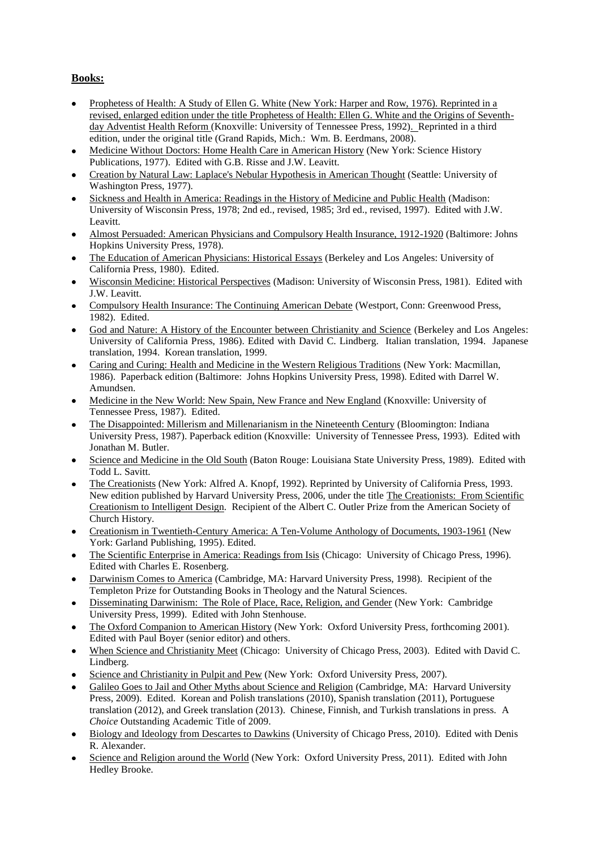# **Books:**

- Prophetess of Health: A Study of Ellen G. White (New York: Harper and Row, 1976). Reprinted in a revised, enlarged edition under the title Prophetess of Health: Ellen G. White and the Origins of Seventhday Adventist Health Reform (Knoxville: University of Tennessee Press, 1992). Reprinted in a third edition, under the original title (Grand Rapids, Mich.: Wm. B. Eerdmans, 2008).
- Medicine Without Doctors: Home Health Care in American History (New York: Science History Publications, 1977). Edited with G.B. Risse and J.W. Leavitt.
- Creation by Natural Law: Laplace's Nebular Hypothesis in American Thought (Seattle: University of Washington Press, 1977).
- Sickness and Health in America: Readings in the History of Medicine and Public Health (Madison: University of Wisconsin Press, 1978; 2nd ed., revised, 1985; 3rd ed., revised, 1997). Edited with J.W. Leavitt.
- Almost Persuaded: American Physicians and Compulsory Health Insurance, 1912-1920 (Baltimore: Johns Hopkins University Press, 1978).
- The Education of American Physicians: Historical Essays (Berkeley and Los Angeles: University of California Press, 1980). Edited.
- Wisconsin Medicine: Historical Perspectives (Madison: University of Wisconsin Press, 1981). Edited with J.W. Leavitt.
- Compulsory Health Insurance: The Continuing American Debate (Westport, Conn: Greenwood Press, 1982). Edited.
- God and Nature: A History of the Encounter between Christianity and Science (Berkeley and Los Angeles: University of California Press, 1986). Edited with David C. Lindberg. Italian translation, 1994. Japanese translation, 1994. Korean translation, 1999.
- Caring and Curing: Health and Medicine in the Western Religious Traditions (New York: Macmillan, 1986). Paperback edition (Baltimore: Johns Hopkins University Press, 1998). Edited with Darrel W. Amundsen.
- Medicine in the New World: New Spain, New France and New England (Knoxville: University of Tennessee Press, 1987). Edited.
- The Disappointed: Millerism and Millenarianism in the Nineteenth Century (Bloomington: Indiana University Press, 1987). Paperback edition (Knoxville: University of Tennessee Press, 1993). Edited with Jonathan M. Butler.
- Science and Medicine in the Old South (Baton Rouge: Louisiana State University Press, 1989). Edited with Todd L. Savitt.
- The Creationists (New York: Alfred A. Knopf, 1992). Reprinted by University of California Press, 1993. New edition published by Harvard University Press, 2006, under the title The Creationists: From Scientific Creationism to Intelligent Design. Recipient of the Albert C. Outler Prize from the American Society of Church History.
- Creationism in Twentieth-Century America: A Ten-Volume Anthology of Documents, 1903-1961 (New York: Garland Publishing, 1995). Edited.
- The Scientific Enterprise in America: Readings from Isis (Chicago: University of Chicago Press, 1996).  $\bullet$ Edited with Charles E. Rosenberg.
- Darwinism Comes to America (Cambridge, MA: Harvard University Press, 1998). Recipient of the  $\bullet$ Templeton Prize for Outstanding Books in Theology and the Natural Sciences.
- Disseminating Darwinism: The Role of Place, Race, Religion, and Gender (New York: Cambridge University Press, 1999). Edited with John Stenhouse.
- The Oxford Companion to American History (New York: Oxford University Press, forthcoming 2001). Edited with Paul Boyer (senior editor) and others.
- When Science and Christianity Meet (Chicago: University of Chicago Press, 2003). Edited with David C. Lindberg.
- Science and Christianity in Pulpit and Pew (New York: Oxford University Press, 2007).
- Galileo Goes to Jail and Other Myths about Science and Religion (Cambridge, MA: Harvard University Press, 2009). Edited. Korean and Polish translations (2010), Spanish translation (2011), Portuguese translation (2012), and Greek translation (2013). Chinese, Finnish, and Turkish translations in press. A *Choice* Outstanding Academic Title of 2009.
- Biology and Ideology from Descartes to Dawkins (University of Chicago Press, 2010). Edited with Denis R. Alexander.
- Science and Religion around the World (New York: Oxford University Press, 2011). Edited with John Hedley Brooke.